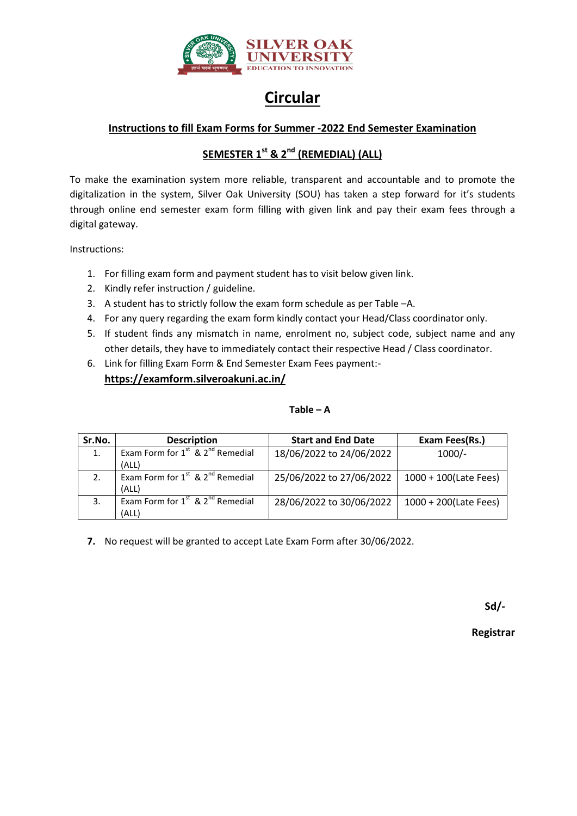

## **Circular**

## **Instructions to fill Exam Forms for Summer -2022 End Semester Examination**

## **SEMESTER 1 st & 2nd (REMEDIAL) (ALL)**

To make the examination system more reliable, transparent and accountable and to promote the digitalization in the system, Silver Oak University (SOU) has taken a step forward for it's students through online end semester exam form filling with given link and pay their exam fees through a digital gateway.

Instructions:

- 1. For filling exam form and payment student has to visit below given link.
- 2. Kindly refer instruction / guideline.
- 3. A student has to strictly follow the exam form schedule as per Table –A.
- 4. For any query regarding the exam form kindly contact your Head/Class coordinator only.
- 5. If student finds any mismatch in name, enrolment no, subject code, subject name and any other details, they have to immediately contact their respective Head / Class coordinator.
- 6. Link for filling Exam Form & End Semester Exam Fees payment: **https://examform.silveroakuni.ac.in/**

## $Table - A$

| Sr.No. | <b>Description</b>                                                        | <b>Start and End Date</b> | Exam Fees(Rs.)        |
|--------|---------------------------------------------------------------------------|---------------------------|-----------------------|
| 1.     | Exam Form for 1 <sup>st</sup> & 2 <sup>nd</sup> Remedial<br>(ALL)         | 18/06/2022 to 24/06/2022  | $1000/-$              |
| 2.     | Exam Form for $1^{st}$ & $2^{nd}$ Remedial<br>(ALL)                       | 25/06/2022 to 27/06/2022  | 1000 + 100(Late Fees) |
| 3.     | Exam Form for $1^{\overline{st}}$ & $2^{\overline{nd}}$ Remedial<br>(ALL) | 28/06/2022 to 30/06/2022  | 1000 + 200(Late Fees) |

**7.** No request will be granted to accept Late Exam Form after 30/06/2022.

**Sd/-**

**Registrar**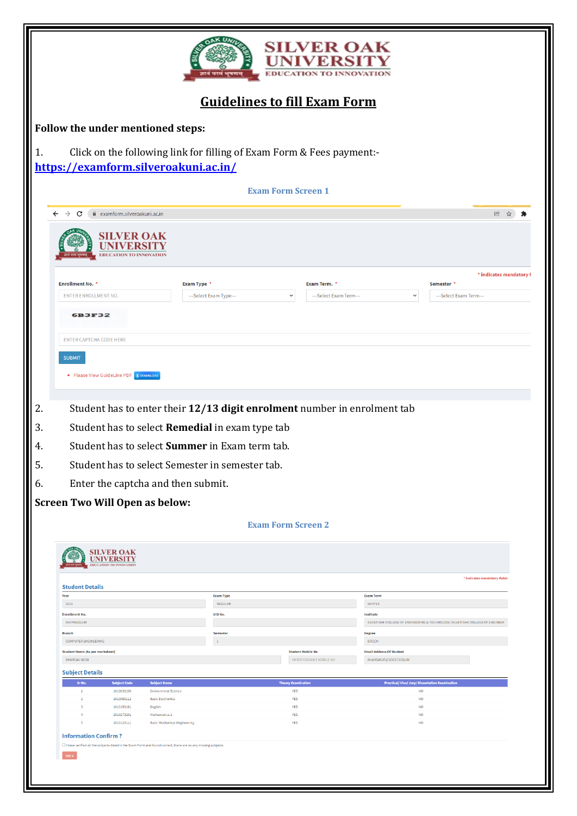|    |                                                                                                                           |                                                                   |                                                        |                                              |                                                 |                           | <b>SILVER OAK</b><br>EDUCATION TO INNOVATION                             |                                                                                |                        |                                                     |                        |                              |
|----|---------------------------------------------------------------------------------------------------------------------------|-------------------------------------------------------------------|--------------------------------------------------------|----------------------------------------------|-------------------------------------------------|---------------------------|--------------------------------------------------------------------------|--------------------------------------------------------------------------------|------------------------|-----------------------------------------------------|------------------------|------------------------------|
|    |                                                                                                                           |                                                                   |                                                        |                                              |                                                 |                           | <b>Guidelines to fill Exam Form</b>                                      |                                                                                |                        |                                                     |                        |                              |
|    | Follow the under mentioned steps:                                                                                         |                                                                   |                                                        |                                              |                                                 |                           |                                                                          |                                                                                |                        |                                                     |                        |                              |
| 1. | https://examform.silveroakuni.ac.in/                                                                                      |                                                                   |                                                        |                                              |                                                 |                           | Click on the following link for filling of Exam Form & Fees payment:-    |                                                                                |                        |                                                     |                        |                              |
|    |                                                                                                                           |                                                                   |                                                        |                                              |                                                 | <b>Exam Form Screen 1</b> |                                                                          |                                                                                |                        |                                                     |                        |                              |
|    | $\leftarrow$ $\rightarrow$<br>C                                                                                           | examform.silveroakuni.ac.in                                       |                                                        |                                              |                                                 |                           |                                                                          |                                                                                |                        |                                                     |                        | 田 立                          |
|    |                                                                                                                           | <b>EDUCATION TO INNOVATION</b>                                    |                                                        |                                              |                                                 |                           |                                                                          |                                                                                |                        |                                                     |                        |                              |
|    | <b>Enrollment No. *</b><br><b>ENTER ENROLLMENT NO.</b><br><b>6B3F32</b>                                                   |                                                                   |                                                        | <b>Exam Type *</b><br>---Select Exam Type--- |                                                 | $\checkmark$              | Exam Term. *<br>---Select Exam Term---                                   |                                                                                | $\checkmark$           | Semester *                                          | ---Select Exam Term--- | * indicates mandatory f      |
|    | <b>ENTER CAPTCHA CODE HERE</b>                                                                                            |                                                                   |                                                        |                                              |                                                 |                           |                                                                          |                                                                                |                        |                                                     |                        |                              |
|    | <b>SUBMIT</b><br>• Please View GuideLine PDF @ DOWNLOAD                                                                   |                                                                   |                                                        |                                              |                                                 |                           |                                                                          |                                                                                |                        |                                                     |                        |                              |
| 2. |                                                                                                                           |                                                                   |                                                        |                                              |                                                 |                           | Student has to enter their 12/13 digit enrolment number in enrolment tab |                                                                                |                        |                                                     |                        |                              |
| 3. |                                                                                                                           |                                                                   |                                                        |                                              | Student has to select Remedial in exam type tab |                           |                                                                          |                                                                                |                        |                                                     |                        |                              |
| 4. |                                                                                                                           |                                                                   |                                                        |                                              | Student has to select Summer in Exam term tab.  |                           |                                                                          |                                                                                |                        |                                                     |                        |                              |
| 5. |                                                                                                                           |                                                                   |                                                        |                                              | Student has to select Semester in semester tab. |                           |                                                                          |                                                                                |                        |                                                     |                        |                              |
| 6. |                                                                                                                           |                                                                   | Enter the captcha and then submit.                     |                                              |                                                 |                           |                                                                          |                                                                                |                        |                                                     |                        |                              |
|    | <b>Screen Two Will Open as below:</b>                                                                                     |                                                                   |                                                        |                                              |                                                 |                           |                                                                          |                                                                                |                        |                                                     |                        |                              |
|    |                                                                                                                           |                                                                   |                                                        |                                              |                                                 | <b>Exam Form Screen 2</b> |                                                                          |                                                                                |                        |                                                     |                        |                              |
|    |                                                                                                                           | <b>SILVER OAK</b><br>UNIVERSITY<br><b>EDUCATION TO INNOVATION</b> |                                                        |                                              |                                                 |                           |                                                                          |                                                                                |                        |                                                     |                        |                              |
|    | <b>Student Details</b>                                                                                                    |                                                                   |                                                        |                                              |                                                 |                           |                                                                          |                                                                                |                        |                                                     |                        | * indicates mandatory fields |
|    | Year                                                                                                                      |                                                                   |                                                        |                                              | <b>Exam Type</b><br>REGULAR                     |                           |                                                                          | <b>Exam Term</b>                                                               |                        |                                                     |                        |                              |
|    | 2021<br><b>Enrollment No.</b>                                                                                             |                                                                   |                                                        |                                              | UID No.                                         |                           |                                                                          | <b>WINTER</b><br>Institute                                                     |                        |                                                     |                        |                              |
|    | 898745632145                                                                                                              |                                                                   |                                                        |                                              |                                                 |                           |                                                                          | SILVER OAK COLLEGE OF ENGINEERING & TECHNOLOGY (SILVER OAK COLLEGE OF ENGINEER |                        |                                                     |                        |                              |
|    | <b>Branch</b><br><b>COMPUTER ENGINEERING</b>                                                                              |                                                                   |                                                        |                                              | Semester<br>$\mathbf 1$                         |                           |                                                                          | <b>Degree</b><br><b>B.TECH</b>                                                 |                        |                                                     |                        |                              |
|    | <b>Student Name (As per marksheet)</b>                                                                                    |                                                                   |                                                        |                                              |                                                 |                           | <b>Student Mobile No</b>                                                 | <b>Email Address Of Student</b>                                                |                        |                                                     |                        |                              |
|    | <b>BHARGAV MODI</b>                                                                                                       |                                                                   |                                                        |                                              |                                                 |                           | <b>ENTER STUDENT MOBILE NO</b>                                           | BHARGAV.IT@SOCET.EDU.IN                                                        |                        |                                                     |                        |                              |
|    | <b>Subject Details</b>                                                                                                    |                                                                   |                                                        |                                              |                                                 |                           |                                                                          |                                                                                |                        |                                                     |                        |                              |
|    | Sr No.                                                                                                                    | <b>Subject Code</b>                                               | <b>Subject Name</b>                                    |                                              |                                                 | <b>Theory Examination</b> |                                                                          |                                                                                |                        | <b>Practical/Viva/Jury/Dissertation Examination</b> |                        |                              |
|    | $\,$<br>$\overline{2}$                                                                                                    | 1010033196<br>1010083112                                          | <b>Environment Science</b><br><b>Basic Electronics</b> |                                              |                                                 | YES<br><b>YES</b>         |                                                                          |                                                                                | <b>NO</b><br><b>NO</b> |                                                     |                        |                              |
|    | 3                                                                                                                         | 1010153181                                                        | English                                                |                                              |                                                 | YES                       |                                                                          |                                                                                | <b>NO</b>              |                                                     |                        |                              |
|    | A,                                                                                                                        | 1010273101<br>1010123111                                          | Mathematics-1<br><b>Basic Mechanical Engineering</b>   |                                              |                                                 | YES<br>YES                |                                                                          |                                                                                | <b>NO</b><br>NO        |                                                     |                        |                              |
|    | <b>Information Confirm?</b>                                                                                               |                                                                   |                                                        |                                              |                                                 |                           |                                                                          |                                                                                |                        |                                                     |                        |                              |
|    | □ I have verified all the subjects listed in the Exam Form and found correct, there are no any missing subjects.<br>PAY 4 |                                                                   |                                                        |                                              |                                                 |                           |                                                                          |                                                                                |                        |                                                     |                        |                              |
|    |                                                                                                                           |                                                                   |                                                        |                                              |                                                 |                           |                                                                          |                                                                                |                        |                                                     |                        |                              |